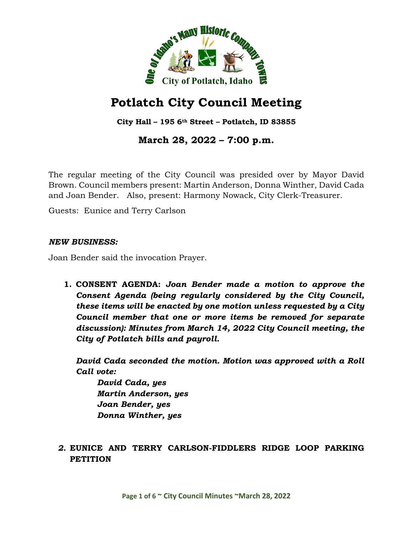

# **Potlatch City Council Meeting**

**City Hall – 195 6th Street – Potlatch, ID 83855**

**March 28, 2022 – 7:00 p.m.**

The regular meeting of the City Council was presided over by Mayor David Brown. Council members present: Martin Anderson, Donna Winther, David Cada and Joan Bender. Also, present: Harmony Nowack, City Clerk-Treasurer.

Guests: Eunice and Terry Carlson

#### *NEW BUSINESS:*

Joan Bender said the invocation Prayer.

**1. CONSENT AGENDA:** *Joan Bender made a motion to approve the Consent Agenda (being regularly considered by the City Council, these items will be enacted by one motion unless requested by a City Council member that one or more items be removed for separate discussion): Minutes from March 14, 2022 City Council meeting, the City of Potlatch bills and payroll.*

*David Cada seconded the motion. Motion was approved with a Roll Call vote:*

*David Cada, yes Martin Anderson, yes Joan Bender, yes Donna Winther, yes*

## *2.* **EUNICE AND TERRY CARLSON-FIDDLERS RIDGE LOOP PARKING PETITION**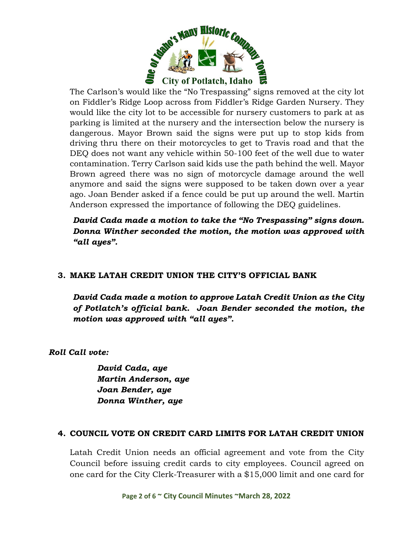

The Carlson's would like the "No Trespassing" signs removed at the city lot on Fiddler's Ridge Loop across from Fiddler's Ridge Garden Nursery. They would like the city lot to be accessible for nursery customers to park at as parking is limited at the nursery and the intersection below the nursery is dangerous. Mayor Brown said the signs were put up to stop kids from driving thru there on their motorcycles to get to Travis road and that the DEQ does not want any vehicle within 50-100 feet of the well due to water contamination. Terry Carlson said kids use the path behind the well. Mayor Brown agreed there was no sign of motorcycle damage around the well anymore and said the signs were supposed to be taken down over a year ago. Joan Bender asked if a fence could be put up around the well. Martin Anderson expressed the importance of following the DEQ guidelines.

*David Cada made a motion to take the "No Trespassing" signs down. Donna Winther seconded the motion, the motion was approved with "all ayes".*

## **3. MAKE LATAH CREDIT UNION THE CITY'S OFFICIAL BANK**

*David Cada made a motion to approve Latah Credit Union as the City of Potlatch's official bank. Joan Bender seconded the motion, the motion was approved with "all ayes".*

*Roll Call vote:*

*David Cada, aye Martin Anderson, aye Joan Bender, aye Donna Winther, aye*

## **4. COUNCIL VOTE ON CREDIT CARD LIMITS FOR LATAH CREDIT UNION**

Latah Credit Union needs an official agreement and vote from the City Council before issuing credit cards to city employees. Council agreed on one card for the City Clerk-Treasurer with a \$15,000 limit and one card for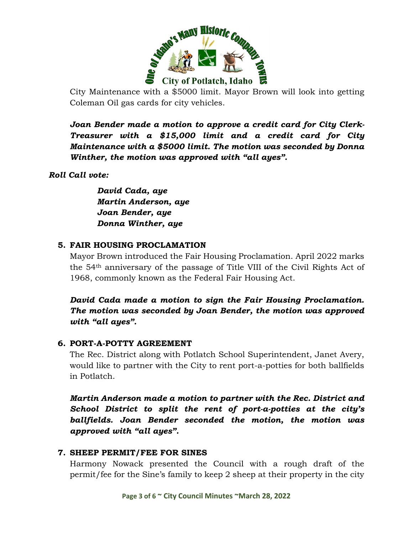

City Maintenance with a \$5000 limit. Mayor Brown will look into getting Coleman Oil gas cards for city vehicles.

*Joan Bender made a motion to approve a credit card for City Clerk-Treasurer with a \$15,000 limit and a credit card for City Maintenance with a \$5000 limit. The motion was seconded by Donna Winther, the motion was approved with "all ayes".*

## *Roll Call vote:*

*David Cada, aye Martin Anderson, aye Joan Bender, aye Donna Winther, aye*

#### **5. FAIR HOUSING PROCLAMATION**

Mayor Brown introduced the Fair Housing Proclamation. April 2022 marks the 54th anniversary of the passage of Title VIII of the Civil Rights Act of 1968, commonly known as the Federal Fair Housing Act.

*David Cada made a motion to sign the Fair Housing Proclamation. The motion was seconded by Joan Bender, the motion was approved with "all ayes".*

#### **6. PORT-A-POTTY AGREEMENT**

The Rec. District along with Potlatch School Superintendent, Janet Avery, would like to partner with the City to rent port-a-potties for both ballfields in Potlatch.

*Martin Anderson made a motion to partner with the Rec. District and School District to split the rent of port-a-potties at the city's ballfields. Joan Bender seconded the motion, the motion was approved with "all ayes".*

#### **7. SHEEP PERMIT/FEE FOR SINES**

Harmony Nowack presented the Council with a rough draft of the permit/fee for the Sine's family to keep 2 sheep at their property in the city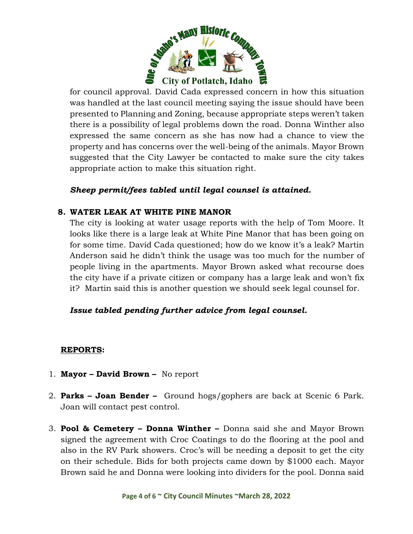

for council approval. David Cada expressed concern in how this situation was handled at the last council meeting saying the issue should have been presented to Planning and Zoning, because appropriate steps weren't taken there is a possibility of legal problems down the road. Donna Winther also expressed the same concern as she has now had a chance to view the property and has concerns over the well-being of the animals. Mayor Brown suggested that the City Lawyer be contacted to make sure the city takes appropriate action to make this situation right.

## *Sheep permit/fees tabled until legal counsel is attained.*

## **8. WATER LEAK AT WHITE PINE MANOR**

The city is looking at water usage reports with the help of Tom Moore. It looks like there is a large leak at White Pine Manor that has been going on for some time. David Cada questioned; how do we know it's a leak? Martin Anderson said he didn't think the usage was too much for the number of people living in the apartments. Mayor Brown asked what recourse does the city have if a private citizen or company has a large leak and won't fix it? Martin said this is another question we should seek legal counsel for.

## *Issue tabled pending further advice from legal counsel.*

## **REPORTS:**

- 1. **Mayor David Brown** No report
- 2. **Parks Joan Bender** Ground hogs/gophers are back at Scenic 6 Park. Joan will contact pest control.
- 3. **Pool & Cemetery Donna Winther** Donna said she and Mayor Brown signed the agreement with Croc Coatings to do the flooring at the pool and also in the RV Park showers. Croc's will be needing a deposit to get the city on their schedule. Bids for both projects came down by \$1000 each. Mayor Brown said he and Donna were looking into dividers for the pool. Donna said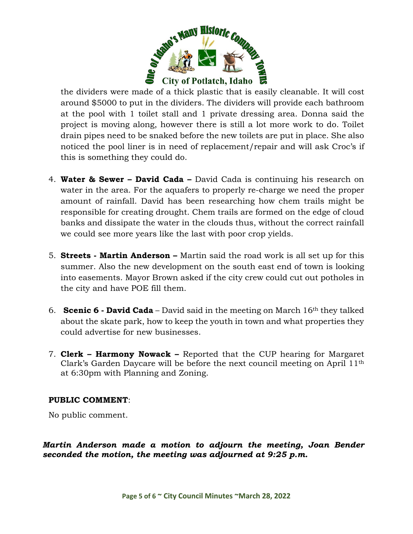

the dividers were made of a thick plastic that is easily cleanable. It will cost around \$5000 to put in the dividers. The dividers will provide each bathroom at the pool with 1 toilet stall and 1 private dressing area. Donna said the project is moving along, however there is still a lot more work to do. Toilet drain pipes need to be snaked before the new toilets are put in place. She also noticed the pool liner is in need of replacement/repair and will ask Croc's if this is something they could do.

- 4. **Water & Sewer – David Cada –** David Cada is continuing his research on water in the area. For the aquafers to properly re-charge we need the proper amount of rainfall. David has been researching how chem trails might be responsible for creating drought. Chem trails are formed on the edge of cloud banks and dissipate the water in the clouds thus, without the correct rainfall we could see more years like the last with poor crop yields.
- 5. **Streets - Martin Anderson –** Martin said the road work is all set up for this summer. Also the new development on the south east end of town is looking into easements. Mayor Brown asked if the city crew could cut out potholes in the city and have POE fill them.
- 6. **Scenic 6 - David Cada** David said in the meeting on March 16th they talked about the skate park, how to keep the youth in town and what properties they could advertise for new businesses.
- 7. **Clerk – Harmony Nowack –** Reported that the CUP hearing for Margaret Clark's Garden Daycare will be before the next council meeting on April 11th at 6:30pm with Planning and Zoning.

## **PUBLIC COMMENT**:

No public comment.

*Martin Anderson made a motion to adjourn the meeting, Joan Bender seconded the motion, the meeting was adjourned at 9:25 p.m.*